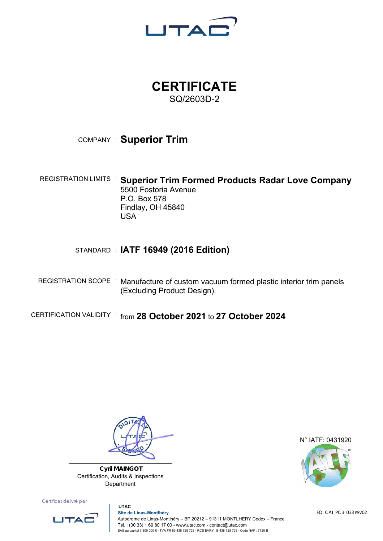

## **CERTIFICATE**  SQ/2603D-2

## COMPANY : **Superior Trim**

REGISTRATION LIMITS : **Superior Trim Formed Products Radar Love Company**  5500 Fostoria Avenue P.O. Box 578 Findlay, OH 45840 USA

## STANDARD : **IATF 16949 (2016 Edition)**

REGISTRATION SCOPE : Manufacture of custom vacuum formed plastic interior trim panels (Excluding Product Design).

CERTIFICATION VALIDITY : from **28 October 2021** to **27 October 2024**



**Cyril MAINGOT**  Certification, Audits & Inspections Department

Certificat délivré par



 **UTAC Site de Linas-Montlhéry** Autodrome de Linas-Montlhéry – BP 20212 – 91311 MONTLHERY Cedex – France Tél. : (00 33) 1 69 80 17 00 - www.utac.com - contact@utac.com SAS au capital 7 800 000 € - TVA FR 89 438 725 723 - RCS EVRY : B 438 725 723 - Code NAF : 7120 B

N° IATF: 0431920



FO\_CAI\_PC3\_033 rev02